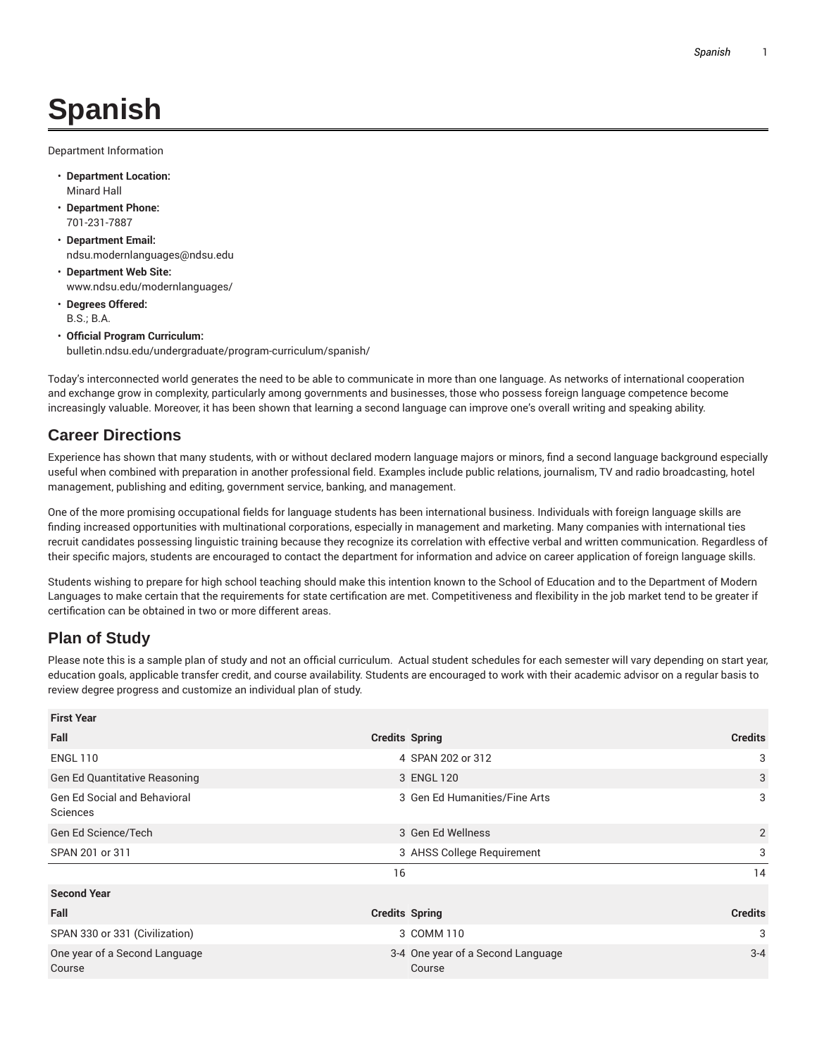## **Spanish**

Department Information

- **Department Location:** Minard Hall
- **Department Phone:** 701-231-7887
- **Department Email:** ndsu.modernlanguages@ndsu.edu
- **Department Web Site:** www.ndsu.edu/modernlanguages/
- **Degrees Offered:** B.S.; B.A.
- **Official Program Curriculum:** bulletin.ndsu.edu/undergraduate/program-curriculum/spanish/

Today's interconnected world generates the need to be able to communicate in more than one language. As networks of international cooperation and exchange grow in complexity, particularly among governments and businesses, those who possess foreign language competence become increasingly valuable. Moreover, it has been shown that learning a second language can improve one's overall writing and speaking ability.

## **Career Directions**

Experience has shown that many students, with or without declared modern language majors or minors, find a second language background especially useful when combined with preparation in another professional field. Examples include public relations, journalism, TV and radio broadcasting, hotel management, publishing and editing, government service, banking, and management.

One of the more promising occupational fields for language students has been international business. Individuals with foreign language skills are finding increased opportunities with multinational corporations, especially in management and marketing. Many companies with international ties recruit candidates possessing linguistic training because they recognize its correlation with effective verbal and written communication. Regardless of their specific majors, students are encouraged to contact the department for information and advice on career application of foreign language skills.

Students wishing to prepare for high school teaching should make this intention known to the School of Education and to the Department of Modern Languages to make certain that the requirements for state certification are met. Competitiveness and flexibility in the job market tend to be greater if certification can be obtained in two or more different areas.

## **Plan of Study**

Please note this is a sample plan of study and not an official curriculum. Actual student schedules for each semester will vary depending on start year, education goals, applicable transfer credit, and course availability. Students are encouraged to work with their academic advisor on a regular basis to review degree progress and customize an individual plan of study.

| <b>First Year</b>                               |                                             |                |
|-------------------------------------------------|---------------------------------------------|----------------|
| Fall                                            | <b>Credits Spring</b>                       | <b>Credits</b> |
| <b>ENGL 110</b>                                 | 4 SPAN 202 or 312                           | 3              |
| <b>Gen Ed Quantitative Reasoning</b>            | 3 ENGL 120                                  | 3              |
| <b>Gen Ed Social and Behavioral</b><br>Sciences | 3 Gen Ed Humanities/Fine Arts               | 3              |
| Gen Ed Science/Tech                             | 3 Gen Ed Wellness                           | 2              |
| SPAN 201 or 311                                 | 3 AHSS College Requirement                  | 3              |
|                                                 | 16                                          | 14             |
| <b>Second Year</b>                              |                                             |                |
| Fall                                            | <b>Credits Spring</b>                       | <b>Credits</b> |
| SPAN 330 or 331 (Civilization)                  | 3 COMM 110                                  | 3              |
| One year of a Second Language<br>Course         | 3-4 One year of a Second Language<br>Course | $3 - 4$        |